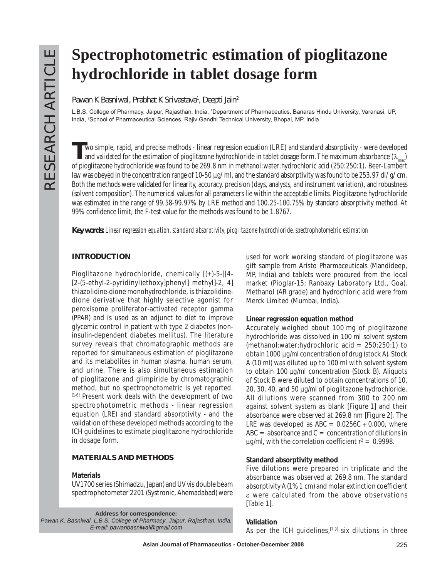# **Spectrophotometric estimation of pioglitazone hydrochloride in tablet dosage form**

**Pawan K Basniwal, Prabhat K Srivastava1 , Deepti Jain2**

L.B.S. College of Pharmacy, Jaipur, Rajasthan, India, <sup>1</sup>Department of Pharmaceutics, Banaras Hindu University, Varanasi, UP, India, 2 School of Pharmaceutical Sciences, Rajiv Gandhi Technical University, Bhopal, MP, India

Wo simple, rapid, and precise methods - linear regression equation (LRE) and standard absorptivity - were developed<br>and validated for the estimation of pioglitazone hydrochloride in tablet dosage form. The maximum absorba of pioglitazone hydrochloride was found to be 269.8 nm in methanol:water:hydrochloric acid (250:250:1). Beer-Lambert law was obeyed in the concentration range of 10-50  $\mu$ g/ml, and the standard absorptivity was found to be 253.97 dl/g/cm. Both the methods were validated for linearity, accuracy, precision (days, analysts, and instrument variation), and robustness (solvent composition). The numerical values for all parameters lie within the acceptable limits. Pioglitazone hydrochloride was estimated in the range of 99.58-99.97% by LRE method and 100.25-100.75% by standard absorptivity method. At 99% confidence limit, the F-test value for the methods was found to be 1.8767.

*Key words: Linear regression equation, standard absorptivity, pioglitazone hydrochloride, spectrophotometric estimation*

## **INTRODUCTION**

Pioglitazone hydrochloride, chemically [(±)-5-[[4- [2-(5-ethyl-2-pyridinyl)ethoxy]phenyl] methyl]-2, 4] thiazolidine-dione monohydrochloride, is thiazolidinedione derivative that highly selective agonist for peroxisome proliferator-activated receptor gamma (PPAR) and is used as an adjunct to diet to improve glycemic control in patient with type 2 diabetes (noninsulin-dependent diabetes mellitus). The literature survey reveals that chromatographic methods are reported for simultaneous estimation of pioglitazone and its metabolites in human plasma, human serum, and urine. There is also simultaneous estimation of pioglitazone and glimpiride by chromatographic method, but no spectrophotometric is yet reported. [1-6] Present work deals with the development of two spectrophotometric methods - linear regression equation (LRE) and standard absorptivity - and the validation of these developed methods according to the ICH guidelines to estimate pioglitazone hydrochloride in dosage form.

## **MATERIALS AND METHODS**

#### **Materials**

UV1700 series (Shimadzu, Japan) and UV vis double beam spectrophotometer 2201 (Systronic, Ahemadabad) were

**Address for correspondence:**  *Pawan K. Basniwal, L.B.S. College of Pharmacy, Jaipur, Rajasthan, India. E-mail: pawanbasniwal@gmail.com*

used for work working standard of pioglitazone was gift sample from Aristo Pharmaceuticals (Mandideep, MP, India) and tablets were procured from the local market (Pioglar-15; Ranbaxy Laboratory Ltd., Goa). Methanol (AR grade) and hydrochloric acid were from Merck Limited (Mumbai, India).

#### **Linear regression equation method**

Accurately weighed about 100 mg of pioglitazone hydrochloride was dissolved in 100 ml solvent system (methanol:water:hydrochloric acid = 250:250:1) to obtain 1000 µg/ml concentration of drug (stock A). Stock A (10 ml) was diluted up to 100 ml with solvent system to obtain 100 µg/ml concentration (Stock B). Aliquots of Stock B were diluted to obtain concentrations of 10, 20, 30, 40, and 50 µg/ml of pioglitazone hydrochloride. All dilutions were scanned from 300 to 200 nm against solvent system as blank [Figure 1] and their absorbance were observed at 269.8 nm [Figure 2]. The LRE was developed as  $ABC = 0.0256C + 0.000$ , where  $ABC = absorbance$  and  $C = concentration$  of dilutions in  $\mu$ g/ml, with the correlation coefficient r<sup>2</sup> = 0.9998.

### **Standard absorptivity method**

Five dilutions were prepared in triplicate and the absorbance was observed at 269.8 nm. The standard absorptivity A (1%, 1 cm) and molar extinction coefficient ε were calculated from the above observations [Table 1].

#### **Validation**

As per the ICH quidelines,  $[7,8]$  six dilutions in three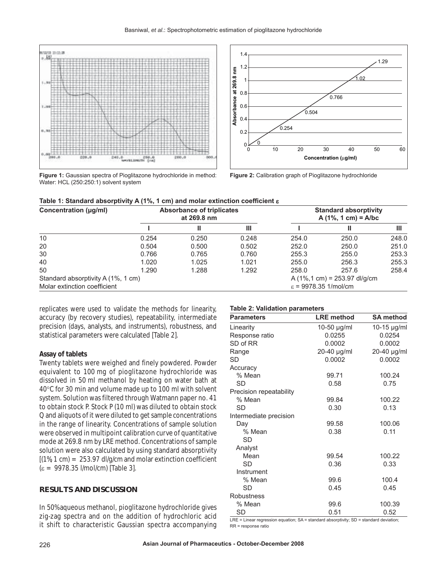

**Figure 1:** Gaussian spectra of Pioglitazone hydrochloride in method: Water: HCL (250:250:1) solvent system



**Figure 2:** Calibration graph of Pioglitazone hydrochloride

|  | Table 1: Standard absorptivity A (1%, 1 cm) and molar extinction coefficient $\bm{\epsilon}$ |
|--|----------------------------------------------------------------------------------------------|
|--|----------------------------------------------------------------------------------------------|

| Concentration (µg/ml)              | <b>Absorbance of triplicates</b><br>at 269.8 nm |       |       | <b>Standard absorptivity</b><br>$A(1\%, 1 \text{ cm}) = A/bc$ |                                                  |       |
|------------------------------------|-------------------------------------------------|-------|-------|---------------------------------------------------------------|--------------------------------------------------|-------|
|                                    |                                                 | Ш     | Ш     |                                                               |                                                  | Ш     |
| 10                                 | 0.254                                           | 0.250 | 0.248 | 254.0                                                         | 250.0                                            | 248.0 |
| 20                                 | 0.504                                           | 0.500 | 0.502 | 252.0                                                         | 250.0                                            | 251.0 |
| 30                                 | 0.766                                           | 0.765 | 0.760 | 255.3                                                         | 255.0                                            | 253.3 |
| 40                                 | 1.020                                           | 1.025 | 1.021 | 255.0                                                         | 256.3                                            | 255.3 |
| 50                                 | 1.290                                           | 1.288 | 1.292 | 258.0                                                         | 257.6                                            | 258.4 |
| Standard absorptivity A (1%, 1 cm) |                                                 |       |       |                                                               | A $(1\%, 1 \text{ cm}) = 253.97 \text{ dI/g/cm}$ |       |
| Molar extinction coefficient       |                                                 |       |       | $\epsilon$ = 9978.35 1/mol/cm                                 |                                                  |       |

replicates were used to validate the methods for linearity, accuracy (by recovery studies), repeatability, intermediate precision (days, analysts, and instruments), robustness, and statistical parameters were calculated [Table 2].

#### **Assay of tablets**

Twenty tablets were weighed and finely powdered. Powder equivalent to 100 mg of pioglitazone hydrochloride was dissolved in 50 ml methanol by heating on water bath at 40°C for 30 min and volume made up to 100 ml with solvent system. Solution was filtered through Watmann paper no. 41 to obtain stock P. Stock P (10 ml) was diluted to obtain stock Q and aliquots of it were diluted to get sample concentrations in the range of linearity. Concentrations of sample solution were observed in multipoint calibration curve of quantitative mode at 269.8 nm by LRE method. Concentrations of sample solution were also calculated by using standard absorptivity  $[(1\%, 1 \text{ cm}) = 253.97 \text{ d}]/(1\% = 253.97 \text{ d})$  and molar extinction coefficient (ε = 9978.35 l/mol/cm) [Table 3].

#### **RESULTS AND DISCUSSION**

In 50% aqueous methanol, pioglitazone hydrochloride gives zig-zag spectra and on the addition of hydrochloric acid it shift to characteristic Gaussian spectra accompanying

#### **Table 2: Validation parameters**

| <b>Parameters</b>       | <b>LRE</b> method | <b>SA method</b> |
|-------------------------|-------------------|------------------|
| Linearity               | 10-50 µg/ml       | $10-15$ µg/ml    |
| Response ratio          | 0.0255            | 0.0254           |
| SD of RR                | 0.0002            | 0.0002           |
| Range                   | 20-40 µg/ml       | 20-40 µg/ml      |
| SD                      | 0.0002            | 0.0002           |
| Accuracy                |                   |                  |
| % Mean                  | 99.71             | 100.24           |
| SD                      | 0.58              | 0.75             |
| Precision repeatability |                   |                  |
| % Mean                  | 99.84             | 100.22           |
| SD                      | 0.30              | 0.13             |
| Intermediate precision  |                   |                  |
| Day                     | 99.58             | 100.06           |
| % Mean                  | 0.38              | 0.11             |
| SD                      |                   |                  |
| Analyst                 |                   |                  |
| Mean                    | 99.54             | 100.22           |
| SD                      | 0.36              | 0.33             |
| Instrument              |                   |                  |
| % Mean                  | 99.6              | 100.4            |
| SD                      | 0.45              | 0.45             |
| Robustness              |                   |                  |
| % Mean                  | 99.6              | 100.39           |
| <b>SD</b>               | 0.51              | 0.52             |

LRE = Linear regression equation; SA = standard absorptivity; SD = standard deviation; RR = response ratio